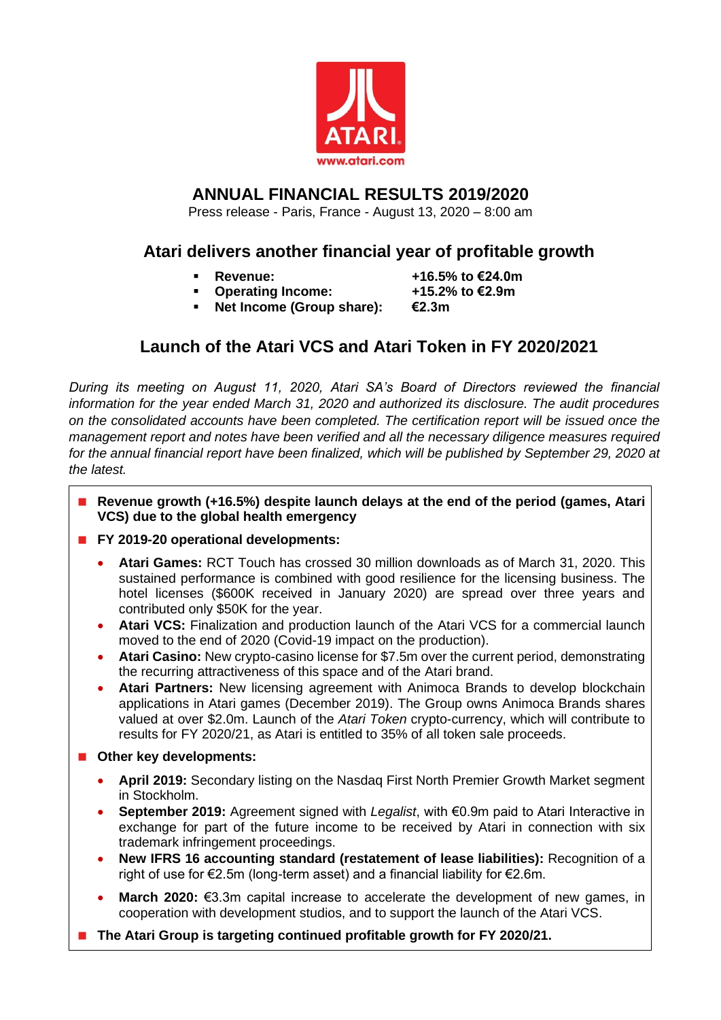

# **ANNUAL FINANCIAL RESULTS 2019/2020**

Press release - Paris, France - August 13, 2020 – 8:00 am

# **Atari delivers another financial year of profitable growth**

- - **Revenue: +16.5% to €24.0m**
- **Operating Income: +15.2% to €2.9m** Net Income (Group share): €2.3m
	-

# **Launch of the Atari VCS and Atari Token in FY 2020/2021**

*During its meeting on August 11, 2020, Atari SA's Board of Directors reviewed the financial information for the year ended March 31, 2020 and authorized its disclosure. The audit procedures on the consolidated accounts have been completed. The certification report will be issued once the management report and notes have been verified and all the necessary diligence measures required for the annual financial report have been finalized, which will be published by September 29, 2020 at the latest.*

- **Revenue growth (+16.5%) despite launch delays at the end of the period (games, Atari VCS) due to the global health emergency**
- **FY 2019-20 operational developments:**
	- **Atari Games:** RCT Touch has crossed 30 million downloads as of March 31, 2020. This sustained performance is combined with good resilience for the licensing business. The hotel licenses (\$600K received in January 2020) are spread over three years and contributed only \$50K for the year.
	- **Atari VCS:** Finalization and production launch of the Atari VCS for a commercial launch moved to the end of 2020 (Covid-19 impact on the production).
	- **Atari Casino:** New crypto-casino license for \$7.5m over the current period, demonstrating the recurring attractiveness of this space and of the Atari brand.
	- **Atari Partners:** New licensing agreement with Animoca Brands to develop blockchain applications in Atari games (December 2019). The Group owns Animoca Brands shares valued at over \$2.0m. Launch of the *Atari Token* crypto-currency, which will contribute to results for FY 2020/21, as Atari is entitled to 35% of all token sale proceeds.
- **Other key developments:** 
	- **April 2019:** Secondary listing on the Nasdaq First North Premier Growth Market segment in Stockholm.
	- **September 2019:** Agreement signed with *Legalist*, with €0.9m paid to Atari Interactive in exchange for part of the future income to be received by Atari in connection with six trademark infringement proceedings.
	- **New IFRS 16 accounting standard (restatement of lease liabilities):** Recognition of a right of use for €2.5m (long-term asset) and a financial liability for €2.6m.
	- **March 2020:** €3.3m capital increase to accelerate the development of new games, in cooperation with development studios, and to support the launch of the Atari VCS.
- **The Atari Group is targeting continued profitable growth for FY 2020/21.**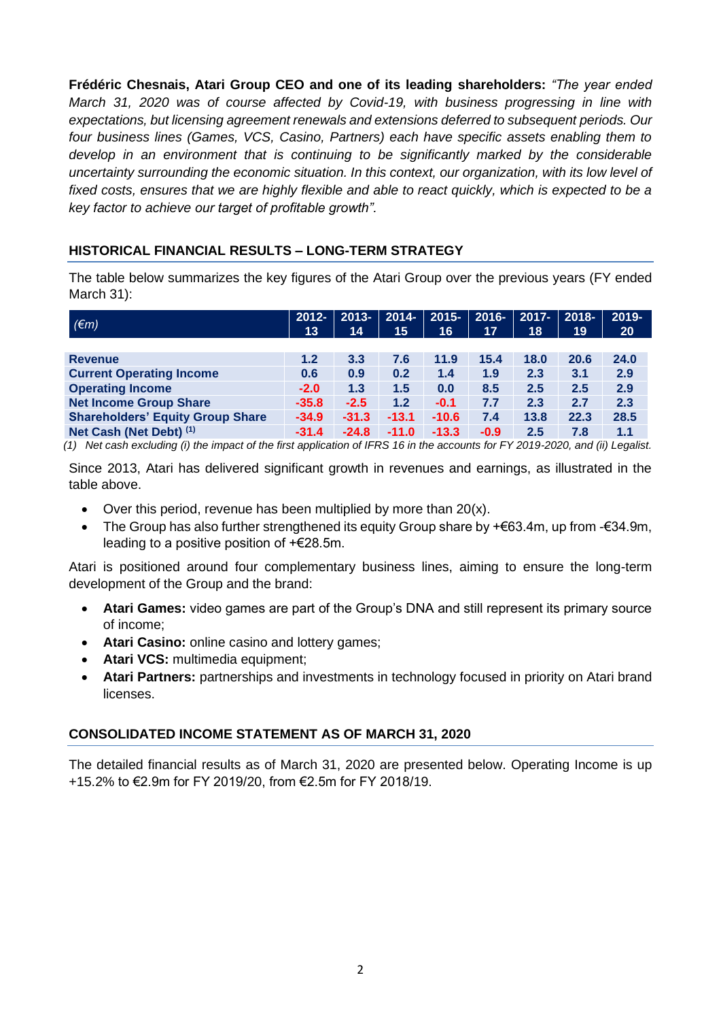**Frédéric Chesnais, Atari Group CEO and one of its leading shareholders:** *"The year ended March 31, 2020 was of course affected by Covid-19, with business progressing in line with expectations, but licensing agreement renewals and extensions deferred to subsequent periods. Our four business lines (Games, VCS, Casino, Partners) each have specific assets enabling them to develop in an environment that is continuing to be significantly marked by the considerable uncertainty surrounding the economic situation. In this context, our organization, with its low level of fixed costs, ensures that we are highly flexible and able to react quickly, which is expected to be a key factor to achieve our target of profitable growth".*

# **HISTORICAL FINANCIAL RESULTS – LONG-TERM STRATEGY**

The table below summarizes the key figures of the Atari Group over the previous years (FY ended March 31):

| $(\epsilon m)$                          | $2012 -$<br>13 | $2013 -$<br>14 | $2014 -$<br>15 | $2015 -$<br>16 | $2016 -$<br>17 | $2017 -$<br>18 | $2018 -$<br>19 | 2019-<br>20 |
|-----------------------------------------|----------------|----------------|----------------|----------------|----------------|----------------|----------------|-------------|
|                                         |                |                |                |                |                |                |                |             |
| <b>Revenue</b>                          | 1.2            | 3.3            | 7.6            | 11.9           | 15.4           | 18.0           | 20.6           | 24.0        |
| <b>Current Operating Income</b>         | 0.6            | 0.9            | 0.2            | 1.4            | 1.9            | 2.3            | 3.1            | 2.9         |
| <b>Operating Income</b>                 | $-2.0$         | 1.3            | 1.5            | 0.0            | 8.5            | 2.5            | 2.5            | 2.9         |
| <b>Net Income Group Share</b>           | $-35.8$        | $-2.5$         | 1.2            | $-0.1$         | 7.7            | 2.3            | 2.7            | 2.3         |
| <b>Shareholders' Equity Group Share</b> | $-34.9$        | $-31.3$        | $-13.1$        | $-10.6$        | 7.4            | 13.8           | 22.3           | 28.5        |
| Net Cash (Net Debt) (1)                 | $-31.4$        | $-24.8$        | $-11.0$        | $-13.3$        | $-0.9$         | 2.5            | 7.8            | 1.1         |

*(1) Net cash excluding (i) the impact of the first application of IFRS 16 in the accounts for FY 2019-2020, and (ii) Legalist.*

Since 2013, Atari has delivered significant growth in revenues and earnings, as illustrated in the table above.

- Over this period, revenue has been multiplied by more than 20(x).
- The Group has also further strengthened its equity Group share by + $\epsilon$ 63.4m, up from - $\epsilon$ 34.9m, leading to a positive position of +€28.5m.

Atari is positioned around four complementary business lines, aiming to ensure the long-term development of the Group and the brand:

- **Atari Games:** video games are part of the Group's DNA and still represent its primary source of income;
- **Atari Casino:** online casino and lottery games;
- **Atari VCS:** multimedia equipment;
- **Atari Partners:** partnerships and investments in technology focused in priority on Atari brand licenses.

# **CONSOLIDATED INCOME STATEMENT AS OF MARCH 31, 2020**

The detailed financial results as of March 31, 2020 are presented below. Operating Income is up +15.2% to €2.9m for FY 2019/20, from €2.5m for FY 2018/19.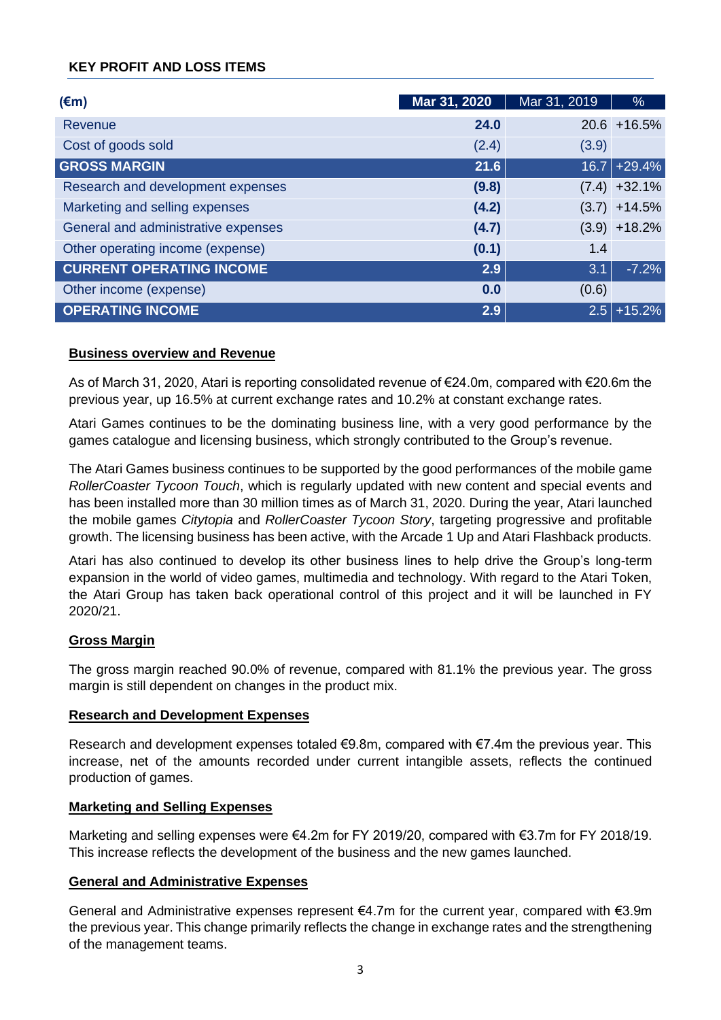# **KEY PROFIT AND LOSS ITEMS**

| $(\epsilon m)$                      | Mar 31, 2020 | Mar 31, 2019 | %               |
|-------------------------------------|--------------|--------------|-----------------|
| Revenue                             | 24.0         |              | $20.6 + 16.5%$  |
| Cost of goods sold                  | (2.4)        | (3.9)        |                 |
| <b>GROSS MARGIN</b>                 | 21.6         |              | $16.7$ +29.4%   |
| Research and development expenses   | (9.8)        |              | $(7.4) +32.1\%$ |
| Marketing and selling expenses      | (4.2)        |              | $(3.7) + 14.5%$ |
| General and administrative expenses | (4.7)        |              | $(3.9) + 18.2%$ |
| Other operating income (expense)    | (0.1)        | 1.4          |                 |
| <b>CURRENT OPERATING INCOME</b>     | 2.9          | 3.1          | $-7.2%$         |
| Other income (expense)              | 0.0          | (0.6)        |                 |
| <b>OPERATING INCOME</b>             | 2.9          | 2.5          | $+15.2%$        |

### **Business overview and Revenue**

As of March 31, 2020, Atari is reporting consolidated revenue of €24.0m, compared with €20.6m the previous year, up 16.5% at current exchange rates and 10.2% at constant exchange rates.

Atari Games continues to be the dominating business line, with a very good performance by the games catalogue and licensing business, which strongly contributed to the Group's revenue.

The Atari Games business continues to be supported by the good performances of the mobile game *RollerCoaster Tycoon Touch*, which is regularly updated with new content and special events and has been installed more than 30 million times as of March 31, 2020. During the year, Atari launched the mobile games *Citytopia* and *RollerCoaster Tycoon Story*, targeting progressive and profitable growth. The licensing business has been active, with the Arcade 1 Up and Atari Flashback products.

Atari has also continued to develop its other business lines to help drive the Group's long-term expansion in the world of video games, multimedia and technology. With regard to the Atari Token, the Atari Group has taken back operational control of this project and it will be launched in FY 2020/21.

# **Gross Margin**

The gross margin reached 90.0% of revenue, compared with 81.1% the previous year. The gross margin is still dependent on changes in the product mix.

### **Research and Development Expenses**

Research and development expenses totaled €9.8m, compared with €7.4m the previous year. This increase, net of the amounts recorded under current intangible assets, reflects the continued production of games.

### **Marketing and Selling Expenses**

Marketing and selling expenses were €4.2m for FY 2019/20, compared with €3.7m for FY 2018/19. This increase reflects the development of the business and the new games launched.

### **General and Administrative Expenses**

General and Administrative expenses represent €4.7m for the current year, compared with €3.9m the previous year. This change primarily reflects the change in exchange rates and the strengthening of the management teams.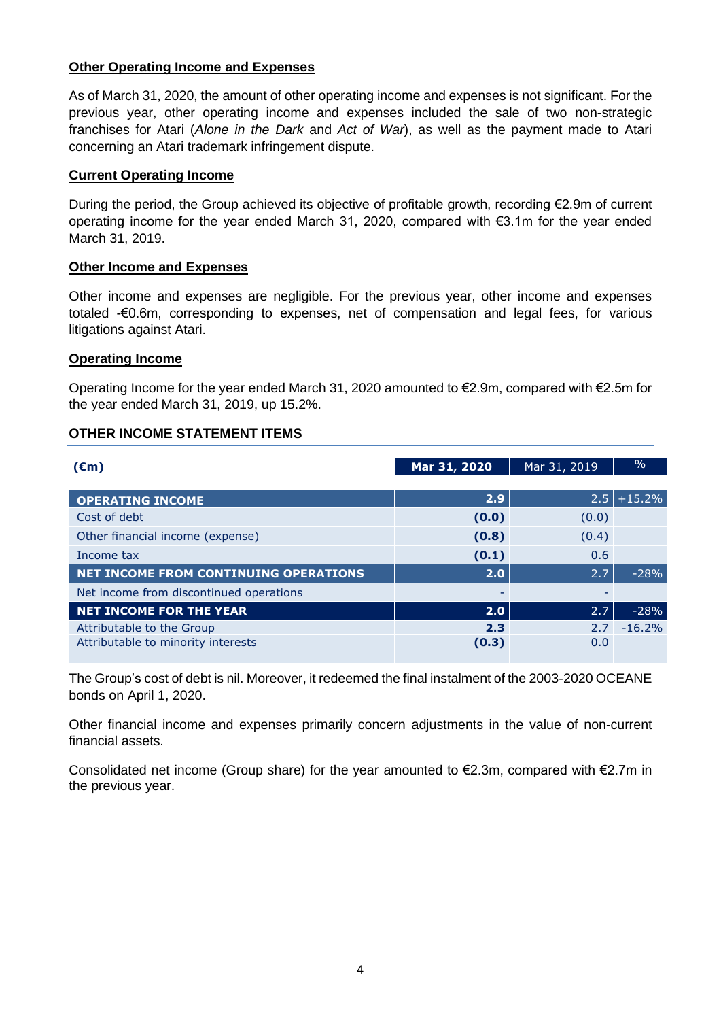# **Other Operating Income and Expenses**

As of March 31, 2020, the amount of other operating income and expenses is not significant. For the previous year, other operating income and expenses included the sale of two non-strategic franchises for Atari (*Alone in the Dark* and *Act of War*), as well as the payment made to Atari concerning an Atari trademark infringement dispute.

# **Current Operating Income**

During the period, the Group achieved its objective of profitable growth, recording €2.9m of current operating income for the year ended March 31, 2020, compared with €3.1m for the year ended March 31, 2019.

### **Other Income and Expenses**

Other income and expenses are negligible. For the previous year, other income and expenses totaled -€0.6m, corresponding to expenses, net of compensation and legal fees, for various litigations against Atari.

### **Operating Income**

Operating Income for the year ended March 31, 2020 amounted to €2.9m, compared with €2.5m for the year ended March 31, 2019, up 15.2%.

# **OTHER INCOME STATEMENT ITEMS**

| $(\epsilon m)$                               | Mar 31, 2020 | Mar 31, 2019 | $\frac{0}{0}$ |
|----------------------------------------------|--------------|--------------|---------------|
|                                              |              |              |               |
| <b>OPERATING INCOME</b>                      | 2.9          | 2.5          | $+15.2%$      |
| Cost of debt                                 | (0.0)        | (0.0)        |               |
| Other financial income (expense)             | (0.8)        | (0.4)        |               |
| Income tax                                   | (0.1)        | 0.6          |               |
| <b>NET INCOME FROM CONTINUING OPERATIONS</b> | 2.0          | 2.7          | $-28%$        |
| Net income from discontinued operations      |              |              |               |
| <b>NET INCOME FOR THE YEAR</b>               | 2.0          | 2.7          | $-28%$        |
| Attributable to the Group                    | 2.3          | 2.7          | $-16.2%$      |
| Attributable to minority interests           | (0.3)        | 0.0          |               |
|                                              |              |              |               |

The Group's cost of debt is nil. Moreover, it redeemed the final instalment of the 2003-2020 OCEANE bonds on April 1, 2020.

Other financial income and expenses primarily concern adjustments in the value of non-current financial assets.

Consolidated net income (Group share) for the year amounted to €2.3m, compared with €2.7m in the previous year.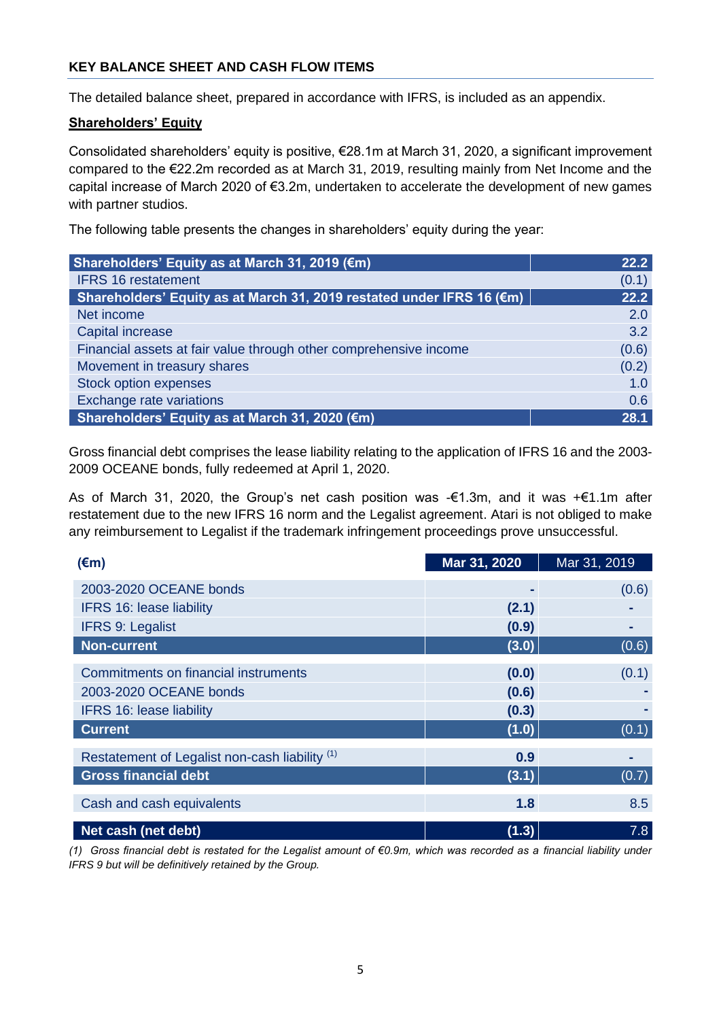# **KEY BALANCE SHEET AND CASH FLOW ITEMS**

The detailed balance sheet, prepared in accordance with IFRS, is included as an appendix.

### **Shareholders' Equity**

Consolidated shareholders' equity is positive, €28.1m at March 31, 2020, a significant improvement compared to the €22.2m recorded as at March 31, 2019, resulting mainly from Net Income and the capital increase of March 2020 of €3.2m, undertaken to accelerate the development of new games with partner studios.

The following table presents the changes in shareholders' equity during the year:

| Shareholders' Equity as at March 31, 2019 (€m)                        | 22.2  |
|-----------------------------------------------------------------------|-------|
| <b>IFRS 16 restatement</b>                                            | (0.1) |
| Shareholders' Equity as at March 31, 2019 restated under IFRS 16 (€m) | 22.2  |
| Net income                                                            | 2.0   |
| Capital increase                                                      | 3.2   |
| Financial assets at fair value through other comprehensive income     | (0.6) |
| Movement in treasury shares                                           | (0.2) |
| <b>Stock option expenses</b>                                          | 1.0   |
| Exchange rate variations                                              | 0.6   |
| Shareholders' Equity as at March 31, 2020 (€m)                        | 28.1  |

Gross financial debt comprises the lease liability relating to the application of IFRS 16 and the 2003- 2009 OCEANE bonds, fully redeemed at April 1, 2020.

As of March 31, 2020, the Group's net cash position was -€1.3m, and it was +€1.1m after restatement due to the new IFRS 16 norm and the Legalist agreement. Atari is not obliged to make any reimbursement to Legalist if the trademark infringement proceedings prove unsuccessful.

| $(\epsilon m)$                                 | Mar 31, 2020 | Mar 31, 2019 |
|------------------------------------------------|--------------|--------------|
| 2003-2020 OCEANE bonds                         |              | (0.6)        |
| <b>IFRS 16: lease liability</b>                | (2.1)        |              |
| <b>IFRS 9: Legalist</b>                        | (0.9)        |              |
| <b>Non-current</b>                             | (3.0)        | (0.6)        |
| Commitments on financial instruments           | (0.0)        | (0.1)        |
| 2003-2020 OCEANE bonds                         | (0.6)        |              |
| <b>IFRS 16: lease liability</b>                | (0.3)        |              |
| <b>Current</b>                                 | (1.0)        | (0.1)        |
| Restatement of Legalist non-cash liability (1) | 0.9          |              |
| <b>Gross financial debt</b>                    | (3.1)        | (0.7)        |
| Cash and cash equivalents                      | 1.8          | 8.5          |
| Net cash (net debt)                            | (1.3)        | 7.8          |

*(1) Gross financial debt is restated for the Legalist amount of €0.9m, which was recorded as a financial liability under IFRS 9 but will be definitively retained by the Group.*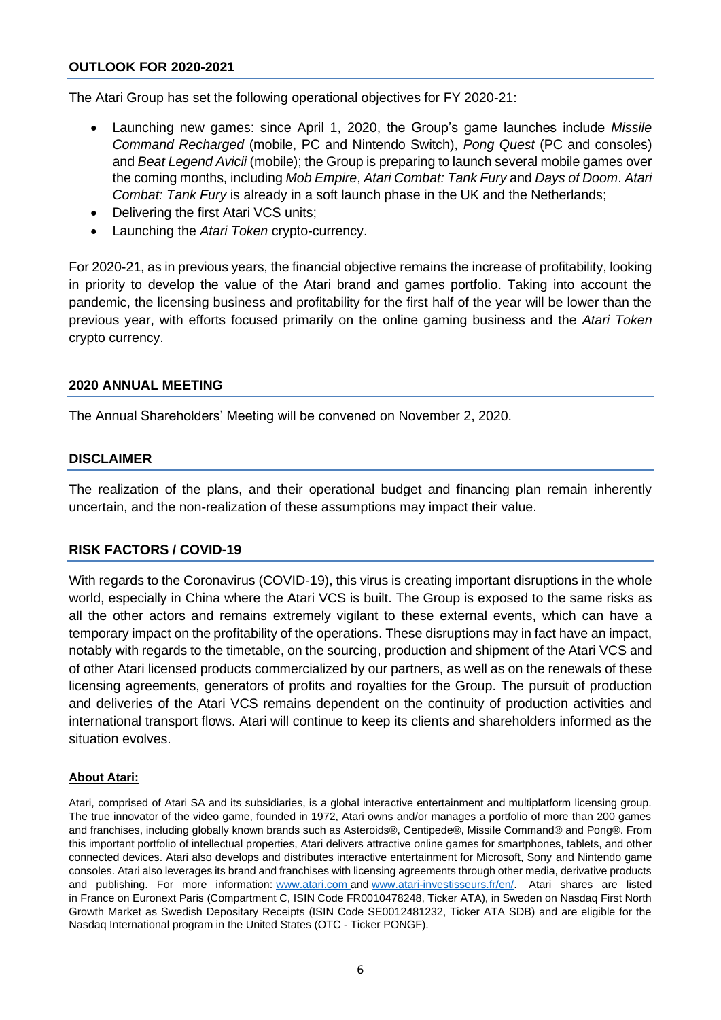## **OUTLOOK FOR 2020-2021**

The Atari Group has set the following operational objectives for FY 2020-21:

- Launching new games: since April 1, 2020, the Group's game launches include *Missile Command Recharged* (mobile, PC and Nintendo Switch), *Pong Quest* (PC and consoles) and *Beat Legend Avicii* (mobile); the Group is preparing to launch several mobile games over the coming months, including *Mob Empire*, *Atari Combat: Tank Fury* and *Days of Doom*. *Atari Combat: Tank Fury* is already in a soft launch phase in the UK and the Netherlands;
- Delivering the first Atari VCS units;
- Launching the *Atari Token* crypto-currency.

For 2020-21, as in previous years, the financial objective remains the increase of profitability, looking in priority to develop the value of the Atari brand and games portfolio. Taking into account the pandemic, the licensing business and profitability for the first half of the year will be lower than the previous year, with efforts focused primarily on the online gaming business and the *Atari Token*  crypto currency.

### **2020 ANNUAL MEETING**

The Annual Shareholders' Meeting will be convened on November 2, 2020.

# **DISCLAIMER**

The realization of the plans, and their operational budget and financing plan remain inherently uncertain, and the non-realization of these assumptions may impact their value.

# **RISK FACTORS / COVID-19**

With regards to the Coronavirus (COVID-19), this virus is creating important disruptions in the whole world, especially in China where the Atari VCS is built. The Group is exposed to the same risks as all the other actors and remains extremely vigilant to these external events, which can have a temporary impact on the profitability of the operations. These disruptions may in fact have an impact, notably with regards to the timetable, on the sourcing, production and shipment of the Atari VCS and of other Atari licensed products commercialized by our partners, as well as on the renewals of these licensing agreements, generators of profits and royalties for the Group. The pursuit of production and deliveries of the Atari VCS remains dependent on the continuity of production activities and international transport flows. Atari will continue to keep its clients and shareholders informed as the situation evolves.

#### **About Atari:**

Atari, comprised of Atari SA and its subsidiaries, is a global interactive entertainment and multiplatform licensing group. The true innovator of the video game, founded in 1972, Atari owns and/or manages a portfolio of more than 200 games and franchises, including globally known brands such as Asteroids®, Centipede®, Missile Command® and Pong®. From this important portfolio of intellectual properties, Atari delivers attractive online games for smartphones, tablets, and other connected devices. Atari also develops and distributes interactive entertainment for Microsoft, Sony and Nintendo game consoles. Atari also leverages its brand and franchises with licensing agreements through other media, derivative products and publishing. For more information: [www.atari.com](https://c212.net/c/link/?t=0&l=en&o=2333252-1&h=811462502&u=http%3A%2F%2Fwww.atari.com%2F&a=www.atari.com) and [www.atari-investisseurs.fr/en/.](http://www.atari-investisseurs.fr/en/) Atari shares are listed in France on Euronext Paris (Compartment C, ISIN Code FR0010478248, Ticker ATA), in Sweden on Nasdaq First North Growth Market as Swedish Depositary Receipts (ISIN Code SE0012481232, Ticker ATA SDB) and are eligible for the Nasdaq International program in the United States (OTC - Ticker PONGF).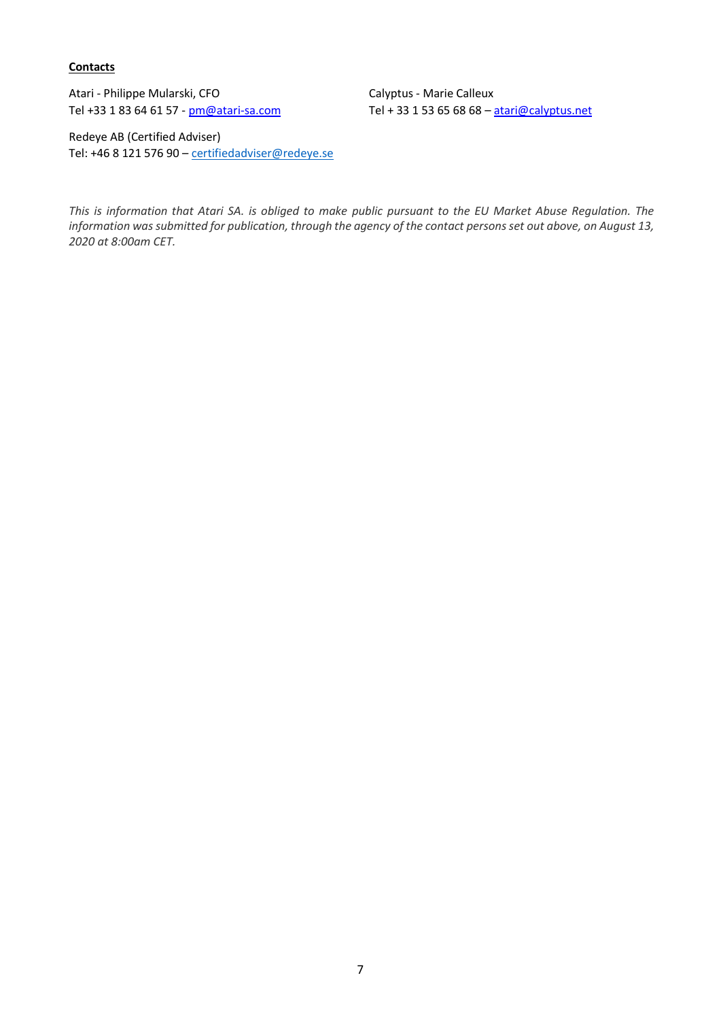**Contacts** 

Atari - Philippe Mularski, CFO Calyptus - Marie Calleux Tel +33 1 83 64 61 57 - [pm@atari-sa.com](mailto:pm@atari-sa.com) Tel + 33 1 53 65 68 68 - [atari@calyptus.net](mailto:atari@calyptus.net)

Redeye AB (Certified Adviser) Tel: +46 8 121 576 90 – [certifiedadviser@redeye.se](mailto:certifiedadviser@redeye.se)

*This is information that Atari SA. is obliged to make public pursuant to the EU Market Abuse Regulation. The information was submitted for publication, through the agency of the contact persons set out above, on August 13, 2020 at 8:00am CET.*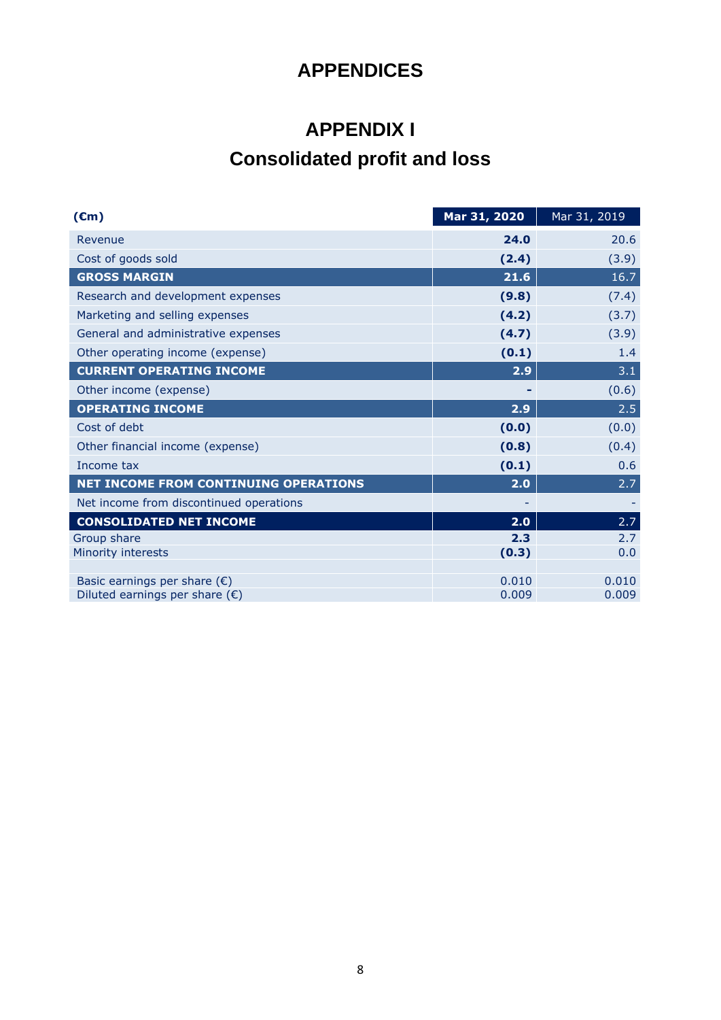# **APPENDICES**

# **APPENDIX I**

# **Consolidated profit and loss**

| $(\epsilon m)$                          | Mar 31, 2020 | Mar 31, 2019 |
|-----------------------------------------|--------------|--------------|
| Revenue                                 | 24.0         | 20.6         |
| Cost of goods sold                      | (2.4)        | (3.9)        |
| <b>GROSS MARGIN</b>                     | 21.6         | 16.7         |
| Research and development expenses       | (9.8)        | (7.4)        |
| Marketing and selling expenses          | (4.2)        | (3.7)        |
| General and administrative expenses     | (4.7)        | (3.9)        |
| Other operating income (expense)        | (0.1)        | 1.4          |
| <b>CURRENT OPERATING INCOME</b>         | 2.9          | 3.1          |
| Other income (expense)                  |              | (0.6)        |
| <b>OPERATING INCOME</b>                 | 2.9          | 2.5          |
| Cost of debt                            | (0.0)        | (0.0)        |
| Other financial income (expense)        | (0.8)        | (0.4)        |
| Income tax                              | (0.1)        | 0.6          |
| NET INCOME FROM CONTINUING OPERATIONS   | 2.0          | 2.7          |
| Net income from discontinued operations |              |              |
| <b>CONSOLIDATED NET INCOME</b>          | 2.0          | 2.7          |
| Group share                             | 2.3          | 2.7          |
| Minority interests                      | (0.3)        | 0.0          |
| Basic earnings per share $(\epsilon)$   | 0.010        | 0.010        |
| Diluted earnings per share $(\epsilon)$ | 0.009        | 0.009        |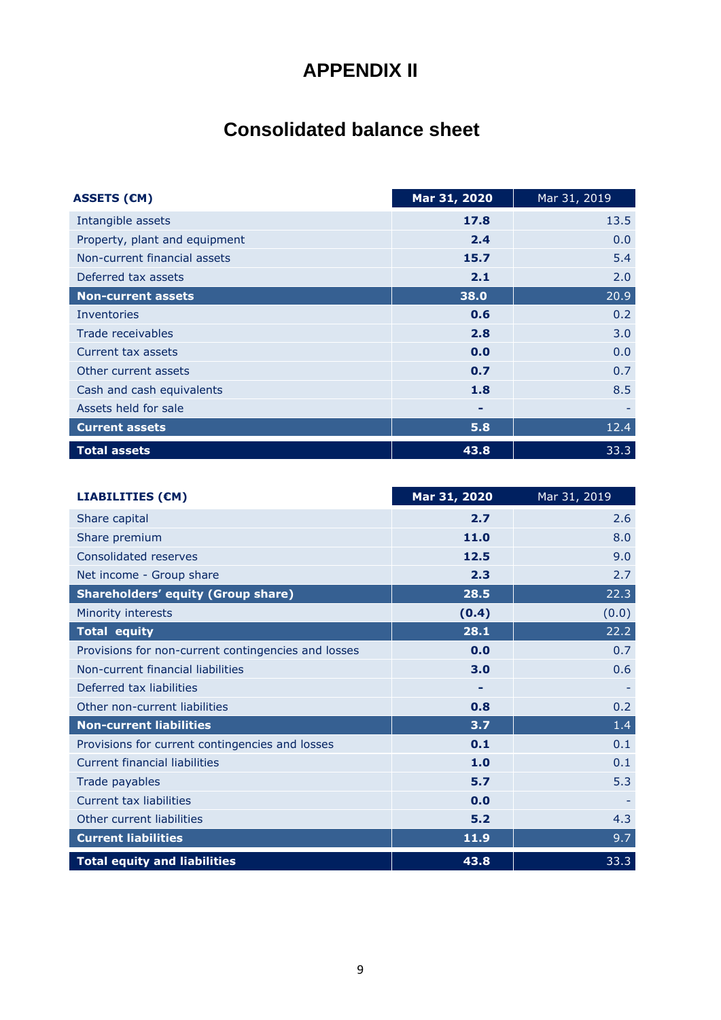# **APPENDIX II**

# **Consolidated balance sheet**

| <b>ASSETS (€M)</b>            | Mar 31, 2020 | Mar 31, 2019 |
|-------------------------------|--------------|--------------|
| Intangible assets             | 17.8         | 13.5         |
| Property, plant and equipment | 2.4          | 0.0          |
| Non-current financial assets  | 15.7         | 5.4          |
| Deferred tax assets           | 2.1          | 2.0          |
| <b>Non-current assets</b>     | 38.0         | 20.9         |
| Inventories                   | 0.6          | 0.2          |
| Trade receivables             | 2.8          | 3.0          |
| Current tax assets            | 0.0          | 0.0          |
| Other current assets          | 0.7          | 0.7          |
| Cash and cash equivalents     | 1.8          | 8.5          |
| Assets held for sale          | ۰            |              |
| <b>Current assets</b>         | 5.8          | 12.4         |
| <b>Total assets</b>           | 43.8         | 33.3         |

| <b>LIABILITIES (€M)</b>                             | Mar 31, 2020 | Mar 31, 2019 |
|-----------------------------------------------------|--------------|--------------|
| Share capital                                       | 2.7          | 2.6          |
| Share premium                                       | 11.0         | 8.0          |
| Consolidated reserves                               | 12.5         | 9.0          |
| Net income - Group share                            | 2.3          | 2.7          |
| <b>Shareholders' equity (Group share)</b>           | 28.5         | 22.3         |
| Minority interests                                  | (0.4)        | (0.0)        |
| <b>Total equity</b>                                 | 28.1         | 22.2         |
| Provisions for non-current contingencies and losses | 0.0          | 0.7          |
| Non-current financial liabilities                   | 3.0          | 0.6          |
| Deferred tax liabilities                            |              |              |
| Other non-current liabilities                       | 0.8          | 0.2          |
| <b>Non-current liabilities</b>                      | 3.7          | 1.4          |
| Provisions for current contingencies and losses     | 0.1          | 0.1          |
| <b>Current financial liabilities</b>                | 1.0          | 0.1          |
| Trade payables                                      | 5.7          | 5.3          |
| <b>Current tax liabilities</b>                      | 0.0          |              |
| Other current liabilities                           | 5.2          | 4.3          |
| <b>Current liabilities</b>                          | 11.9         | 9.7          |
| <b>Total equity and liabilities</b>                 | 43.8         | 33.3         |